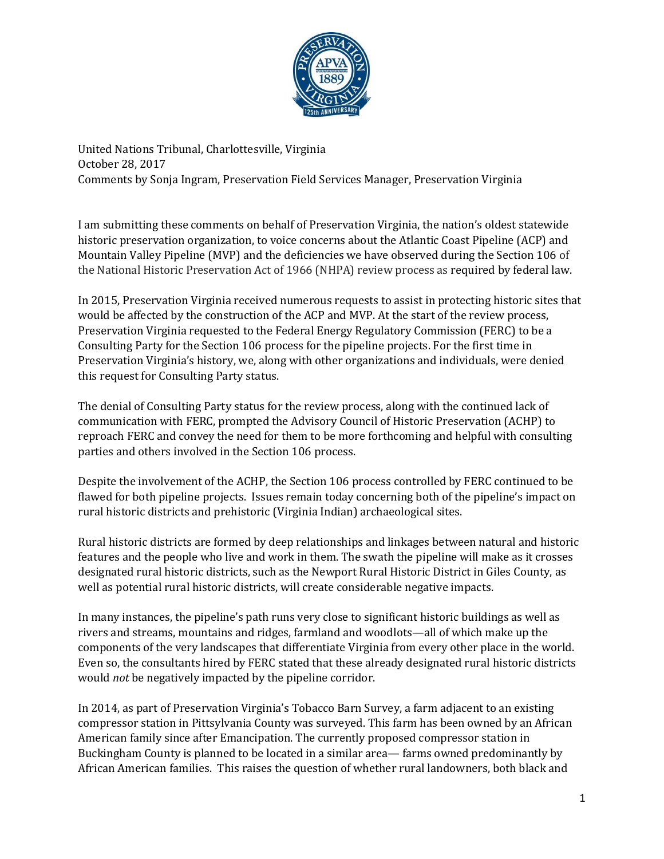

United Nations Tribunal, Charlottesville, Virginia October 28, 2017 Comments by Sonja Ingram, Preservation Field Services Manager, Preservation Virginia

I am submitting these comments on behalf of Preservation Virginia, the nation's oldest statewide historic preservation organization, to voice concerns about the Atlantic Coast Pipeline (ACP) and Mountain Valley Pipeline (MVP) and the deficiencies we have observed during the Section 106 of the National Historic Preservation Act of 1966 (NHPA) review process as required by federal law.

In 2015, Preservation Virginia received numerous requests to assist in protecting historic sites that would be affected by the construction of the ACP and MVP. At the start of the review process, Preservation Virginia requested to the Federal Energy Regulatory Commission (FERC) to be a Consulting Party for the Section 106 process for the pipeline projects. For the first time in Preservation Virginia's history, we, along with other organizations and individuals, were denied this request for Consulting Party status.

The denial of Consulting Party status for the review process, along with the continued lack of communication with FERC, prompted the Advisory Council of Historic Preservation (ACHP) to reproach FERC and convey the need for them to be more forthcoming and helpful with consulting parties and others involved in the Section 106 process.

Despite the involvement of the ACHP, the Section 106 process controlled by FERC continued to be flawed for both pipeline projects. Issues remain today concerning both of the pipeline's impact on rural historic districts and prehistoric (Virginia Indian) archaeological sites.

Rural historic districts are formed by deep relationships and linkages between natural and historic features and the people who live and work in them. The swath the pipeline will make as it crosses designated rural historic districts, such as the Newport Rural Historic District in Giles County, as well as potential rural historic districts, will create considerable negative impacts.

In many instances, the pipeline's path runs very close to significant historic buildings as well as rivers and streams, mountains and ridges, farmland and woodlots—all of which make up the components of the very landscapes that differentiate Virginia from every other place in the world. Even so, the consultants hired by FERC stated that these already designated rural historic districts would *not* be negatively impacted by the pipeline corridor.

In 2014, as part of Preservation Virginia's Tobacco Barn Survey, a farm adjacent to an existing compressor station in Pittsylvania County was surveyed. This farm has been owned by an African American family since after Emancipation. The currently proposed compressor station in Buckingham County is planned to be located in a similar area— farms owned predominantly by African American families. This raises the question of whether rural landowners, both black and